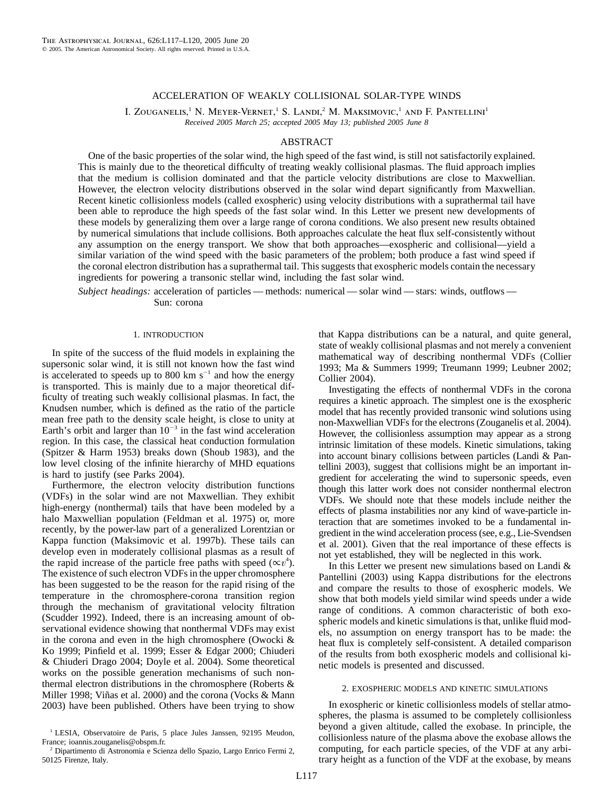# ACCELERATION OF WEAKLY COLLISIONAL SOLAR-TYPE WINDS

I. ZOUGANELIS,<sup>1</sup> N. MEYER-VERNET,<sup>1</sup> S. LANDI,<sup>2</sup> M. MAKSIMOVIC,<sup>1</sup> AND F. PANTELLINI<sup>1</sup> *Received 2005 March 25; accepted 2005 May 13; published 2005 June 8*

### ABSTRACT

One of the basic properties of the solar wind, the high speed of the fast wind, is still not satisfactorily explained. This is mainly due to the theoretical difficulty of treating weakly collisional plasmas. The fluid approach implies that the medium is collision dominated and that the particle velocity distributions are close to Maxwellian. However, the electron velocity distributions observed in the solar wind depart significantly from Maxwellian. Recent kinetic collisionless models (called exospheric) using velocity distributions with a suprathermal tail have been able to reproduce the high speeds of the fast solar wind. In this Letter we present new developments of these models by generalizing them over a large range of corona conditions. We also present new results obtained by numerical simulations that include collisions. Both approaches calculate the heat flux self-consistently without any assumption on the energy transport. We show that both approaches—exospheric and collisional—yield a similar variation of the wind speed with the basic parameters of the problem; both produce a fast wind speed if the coronal electron distribution has a suprathermal tail. This suggests that exospheric models contain the necessary ingredients for powering a transonic stellar wind, including the fast solar wind.

*Subject headings:* acceleration of particles — methods: numerical — solar wind — stars: winds, outflows — Sun: corona

### 1. INTRODUCTION

In spite of the success of the fluid models in explaining the supersonic solar wind, it is still not known how the fast wind is accelerated to speeds up to 800 km  $s^{-1}$  and how the energy is transported. This is mainly due to a major theoretical difficulty of treating such weakly collisional plasmas. In fact, the Knudsen number, which is defined as the ratio of the particle mean free path to the density scale height, is close to unity at Earth's orbit and larger than  $10^{-3}$  in the fast wind acceleration region. In this case, the classical heat conduction formulation (Spitzer & Harm 1953) breaks down (Shoub 1983), and the low level closing of the infinite hierarchy of MHD equations is hard to justify (see Parks 2004).

Furthermore, the electron velocity distribution functions (VDFs) in the solar wind are not Maxwellian. They exhibit high-energy (nonthermal) tails that have been modeled by a halo Maxwellian population (Feldman et al. 1975) or, more recently, by the power-law part of a generalized Lorentzian or Kappa function (Maksimovic et al. 1997b). These tails can develop even in moderately collisional plasmas as a result of the rapid increase of the particle free paths with speed ( $\propto v^4$ ). The existence of such electron VDFs in the upper chromosphere has been suggested to be the reason for the rapid rising of the temperature in the chromosphere-corona transition region through the mechanism of gravitational velocity filtration (Scudder 1992). Indeed, there is an increasing amount of observational evidence showing that nonthermal VDFs may exist in the corona and even in the high chromosphere (Owocki & Ko 1999; Pinfield et al. 1999; Esser & Edgar 2000; Chiuderi & Chiuderi Drago 2004; Doyle et al. 2004). Some theoretical works on the possible generation mechanisms of such nonthermal electron distributions in the chromosphere (Roberts & Miller 1998; Viñas et al. 2000) and the corona (Vocks  $&$  Mann 2003) have been published. Others have been trying to show

that Kappa distributions can be a natural, and quite general, state of weakly collisional plasmas and not merely a convenient mathematical way of describing nonthermal VDFs (Collier 1993; Ma & Summers 1999; Treumann 1999; Leubner 2002; Collier 2004).

Investigating the effects of nonthermal VDFs in the corona requires a kinetic approach. The simplest one is the exospheric model that has recently provided transonic wind solutions using non-Maxwellian VDFs for the electrons (Zouganelis et al. 2004). However, the collisionless assumption may appear as a strong intrinsic limitation of these models. Kinetic simulations, taking into account binary collisions between particles (Landi & Pantellini 2003), suggest that collisions might be an important ingredient for accelerating the wind to supersonic speeds, even though this latter work does not consider nonthermal electron VDFs. We should note that these models include neither the effects of plasma instabilities nor any kind of wave-particle interaction that are sometimes invoked to be a fundamental ingredient in the wind acceleration process (see, e.g., Lie-Svendsen et al. 2001). Given that the real importance of these effects is not yet established, they will be neglected in this work.

In this Letter we present new simulations based on Landi  $\&$ Pantellini (2003) using Kappa distributions for the electrons and compare the results to those of exospheric models. We show that both models yield similar wind speeds under a wide range of conditions. A common characteristic of both exospheric models and kinetic simulations is that, unlike fluid models, no assumption on energy transport has to be made: the heat flux is completely self-consistent. A detailed comparison of the results from both exospheric models and collisional kinetic models is presented and discussed.

## 2. EXOSPHERIC MODELS AND KINETIC SIMULATIONS

In exospheric or kinetic collisionless models of stellar atmospheres, the plasma is assumed to be completely collisionless beyond a given altitude, called the exobase. In principle, the collisionless nature of the plasma above the exobase allows the computing, for each particle species, of the VDF at any arbitrary height as a function of the VDF at the exobase, by means

<sup>&</sup>lt;sup>1</sup> LESIA, Observatoire de Paris, 5 place Jules Janssen, 92195 Meudon, France; ioannis.zouganelis@obspm.fr.

<sup>2</sup> Dipartimento di Astronomia e Scienza dello Spazio, Largo Enrico Fermi 2, 50125 Firenze, Italy.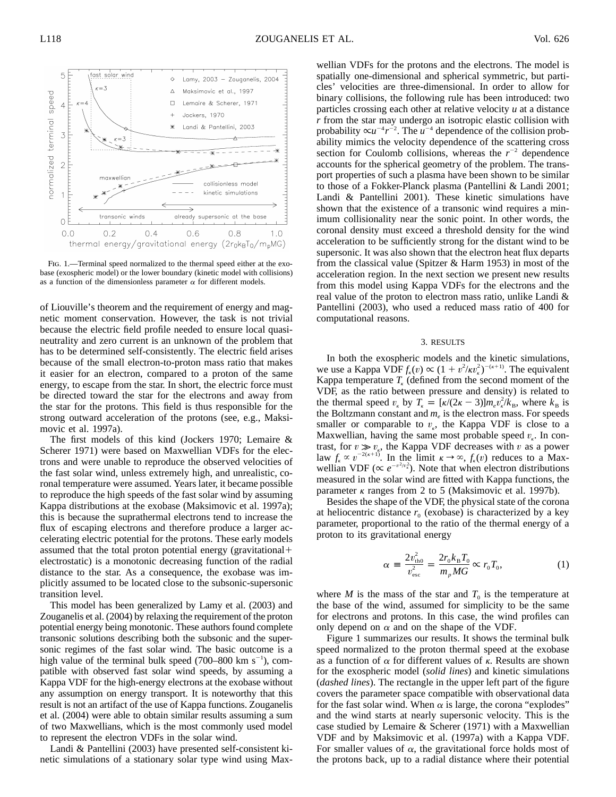

FIG. 1.—Terminal speed normalized to the thermal speed either at the exobase (exospheric model) or the lower boundary (kinetic model with collisions) as a function of the dimensionless parameter  $\alpha$  for different models.

of Liouville's theorem and the requirement of energy and magnetic moment conservation. However, the task is not trivial because the electric field profile needed to ensure local quasineutrality and zero current is an unknown of the problem that has to be determined self-consistently. The electric field arises because of the small electron-to-proton mass ratio that makes it easier for an electron, compared to a proton of the same energy, to escape from the star. In short, the electric force must be directed toward the star for the electrons and away from the star for the protons. This field is thus responsible for the strong outward acceleration of the protons (see, e.g., Maksimovic et al. 1997a).

The first models of this kind (Jockers 1970; Lemaire & Scherer 1971) were based on Maxwellian VDFs for the electrons and were unable to reproduce the observed velocities of the fast solar wind, unless extremely high, and unrealistic, coronal temperature were assumed. Years later, it became possible to reproduce the high speeds of the fast solar wind by assuming Kappa distributions at the exobase (Maksimovic et al. 1997a); this is because the suprathermal electrons tend to increase the flux of escaping electrons and therefore produce a larger accelerating electric potential for the protons. These early models assumed that the total proton potential energy (gravitational electrostatic) is a monotonic decreasing function of the radial distance to the star. As a consequence, the exobase was implicitly assumed to be located close to the subsonic-supersonic transition level.

This model has been generalized by Lamy et al. (2003) and Zouganelis et al. (2004) by relaxing the requirement of the proton potential energy being monotonic. These authors found complete transonic solutions describing both the subsonic and the supersonic regimes of the fast solar wind. The basic outcome is a high value of the terminal bulk speed  $(700–800 \text{ km s}^{-1})$ , compatible with observed fast solar wind speeds, by assuming a Kappa VDF for the high-energy electrons at the exobase without any assumption on energy transport. It is noteworthy that this result is not an artifact of the use of Kappa functions. Zouganelis et al. (2004) were able to obtain similar results assuming a sum of two Maxwellians, which is the most commonly used model to represent the electron VDFs in the solar wind.

Landi & Pantellini (2003) have presented self-consistent kinetic simulations of a stationary solar type wind using Maxwellian VDFs for the protons and the electrons. The model is spatially one-dimensional and spherical symmetric, but particles' velocities are three-dimensional. In order to allow for binary collisions, the following rule has been introduced: two particles crossing each other at relative velocity *u* at a distance *r* from the star may undergo an isotropic elastic collision with probability  $\propto u^{-4} r^{-2}$ . The  $u^{-4}$  dependence of the collision probability mimics the velocity dependence of the scattering cross section for Coulomb collisions, whereas the  $r^{-2}$  dependence accounts for the spherical geometry of the problem. The transport properties of such a plasma have been shown to be similar to those of a Fokker-Planck plasma (Pantellini & Landi 2001; Landi & Pantellini 2001). These kinetic simulations have shown that the existence of a transonic wind requires a minimum collisionality near the sonic point. In other words, the coronal density must exceed a threshold density for the wind acceleration to be sufficiently strong for the distant wind to be supersonic. It was also shown that the electron heat flux departs from the classical value (Spitzer & Harm 1953) in most of the acceleration region. In the next section we present new results from this model using Kappa VDFs for the electrons and the real value of the proton to electron mass ratio, unlike Landi & Pantellini (2003), who used a reduced mass ratio of 400 for computational reasons.

### 3. RESULTS

In both the exospheric models and the kinetic simulations, we use a Kappa  $\widehat{\text{VDF}}_{f_k}(v) \propto (1 + v^2 / \kappa v_k^2)^{-(\kappa+1)}$ . The equivalent Kappa temperature  $T_k$  (defined from the second moment of the VDF, as the ratio between pressure and density) is related to the thermal speed  $v_k$  by  $T_k = [\kappa/(2\kappa - 3)]m_e v_k^2 / k_B$ , where  $k_B$  is the Boltzmann constant and  $m_e$  is the electron mass. For speeds smaller or comparable to  $v_{k}$ , the Kappa VDF is close to a Maxwellian, having the same most probable speed  $v_k$ . In contrast, for  $v \gg v_{\kappa}$ , the Kappa VDF decreases with v as a power law  $f_k \propto v^{-2(\kappa+1)}$ . In the limit  $\kappa \to \infty$ ,  $f_k(v)$  reduces to a Maxwellian VDF ( $\propto e^{-v^2/v_{\rm k}^2}$ ). Note that when electron distributions measured in the solar wind are fitted with Kappa functions, the parameter  $\kappa$  ranges from 2 to 5 (Maksimovic et al. 1997b).

Besides the shape of the VDF, the physical state of the corona at heliocentric distance  $r_0$  (exobase) is characterized by a key parameter, proportional to the ratio of the thermal energy of a proton to its gravitational energy

$$
\alpha = \frac{2v_{\text{th0}}^2}{v_{\text{esc}}^2} = \frac{2r_0k_{\text{B}}T_0}{m_pMG} \propto r_0T_0,
$$
\n(1)

where *M* is the mass of the star and  $T_0$  is the temperature at the base of the wind, assumed for simplicity to be the same for electrons and protons. In this case, the wind profiles can only depend on  $\alpha$  and on the shape of the VDF.

Figure 1 summarizes our results. It shows the terminal bulk speed normalized to the proton thermal speed at the exobase as a function of  $\alpha$  for different values of  $\kappa$ . Results are shown for the exospheric model (*solid lines*) and kinetic simulations (*dashed lines*). The rectangle in the upper left part of the figure covers the parameter space compatible with observational data for the fast solar wind. When  $\alpha$  is large, the corona "explodes" and the wind starts at nearly supersonic velocity. This is the case studied by Lemaire & Scherer (1971) with a Maxwellian VDF and by Maksimovic et al. (1997a) with a Kappa VDF. For smaller values of  $\alpha$ , the gravitational force holds most of the protons back, up to a radial distance where their potential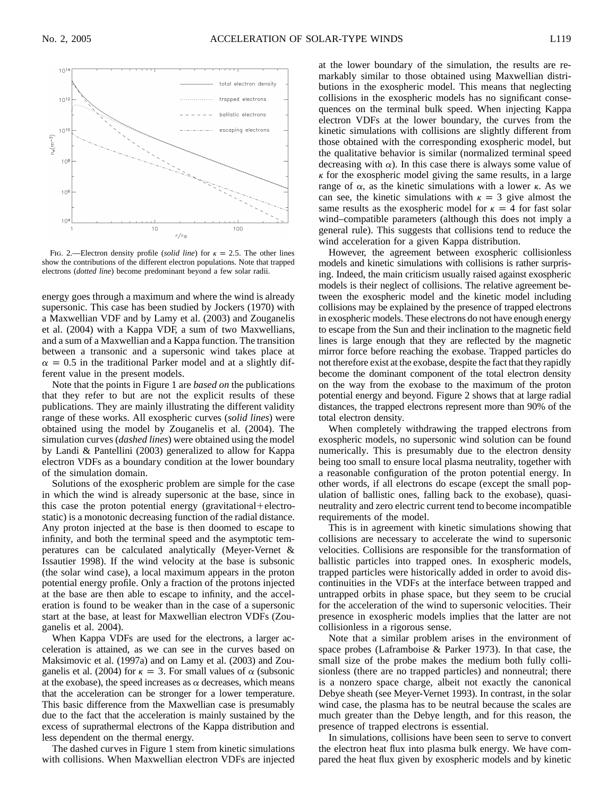

FIG. 2.—Electron density profile (*solid line*) for  $\kappa = 2.5$ . The other lines show the contributions of the different electron populations. Note that trapped electrons (*dotted line*) become predominant beyond a few solar radii.

 $r/r_c$ 

100

 $10$ 

energy goes through a maximum and where the wind is already supersonic. This case has been studied by Jockers (1970) with a Maxwellian VDF and by Lamy et al. (2003) and Zouganelis et al. (2004) with a Kappa VDF, a sum of two Maxwellians, and a sum of a Maxwellian and a Kappa function. The transition between a transonic and a supersonic wind takes place at  $\alpha = 0.5$  in the traditional Parker model and at a slightly different value in the present models.

Note that the points in Figure 1 are *based on* the publications that they refer to but are not the explicit results of these publications. They are mainly illustrating the different validity range of these works. All exospheric curves (*solid lines*) were obtained using the model by Zouganelis et al. (2004). The simulation curves (*dashed lines*) were obtained using the model by Landi & Pantellini (2003) generalized to allow for Kappa electron VDFs as a boundary condition at the lower boundary of the simulation domain.

Solutions of the exospheric problem are simple for the case in which the wind is already supersonic at the base, since in this case the proton potential energy (gravitational+electrostatic) is a monotonic decreasing function of the radial distance. Any proton injected at the base is then doomed to escape to infinity, and both the terminal speed and the asymptotic temperatures can be calculated analytically (Meyer-Vernet & Issautier 1998). If the wind velocity at the base is subsonic (the solar wind case), a local maximum appears in the proton potential energy profile. Only a fraction of the protons injected at the base are then able to escape to infinity, and the acceleration is found to be weaker than in the case of a supersonic start at the base, at least for Maxwellian electron VDFs (Zouganelis et al. 2004).

When Kappa VDFs are used for the electrons, a larger acceleration is attained, as we can see in the curves based on Maksimovic et al. (1997a) and on Lamy et al. (2003) and Zouganelis et al. (2004) for  $\kappa = 3$ . For small values of  $\alpha$  (subsonic at the exobase), the speed increases as  $\alpha$  decreases, which means that the acceleration can be stronger for a lower temperature. This basic difference from the Maxwellian case is presumably due to the fact that the acceleration is mainly sustained by the excess of suprathermal electrons of the Kappa distribution and less dependent on the thermal energy.

The dashed curves in Figure 1 stem from kinetic simulations with collisions. When Maxwellian electron VDFs are injected at the lower boundary of the simulation, the results are remarkably similar to those obtained using Maxwellian distributions in the exospheric model. This means that neglecting collisions in the exospheric models has no significant consequences on the terminal bulk speed. When injecting Kappa electron VDFs at the lower boundary, the curves from the kinetic simulations with collisions are slightly different from those obtained with the corresponding exospheric model, but the qualitative behavior is similar (normalized terminal speed decreasing with  $\alpha$ ). In this case there is always some value of  $\kappa$  for the exospheric model giving the same results, in a large range of  $\alpha$ , as the kinetic simulations with a lower  $\kappa$ . As we can see, the kinetic simulations with  $\kappa = 3$  give almost the same results as the exospheric model for  $\kappa = 4$  for fast solar wind–compatible parameters (although this does not imply a general rule). This suggests that collisions tend to reduce the wind acceleration for a given Kappa distribution.

However, the agreement between exospheric collisionless models and kinetic simulations with collisions is rather surprising. Indeed, the main criticism usually raised against exospheric models is their neglect of collisions. The relative agreement between the exospheric model and the kinetic model including collisions may be explained by the presence of trapped electrons in exospheric models. These electrons do not have enough energy to escape from the Sun and their inclination to the magnetic field lines is large enough that they are reflected by the magnetic mirror force before reaching the exobase. Trapped particles do not therefore exist at the exobase, despite the fact that they rapidly become the dominant component of the total electron density on the way from the exobase to the maximum of the proton potential energy and beyond. Figure 2 shows that at large radial distances, the trapped electrons represent more than 90% of the total electron density.

When completely withdrawing the trapped electrons from exospheric models, no supersonic wind solution can be found numerically. This is presumably due to the electron density being too small to ensure local plasma neutrality, together with a reasonable configuration of the proton potential energy. In other words, if all electrons do escape (except the small population of ballistic ones, falling back to the exobase), quasineutrality and zero electric current tend to become incompatible requirements of the model.

This is in agreement with kinetic simulations showing that collisions are necessary to accelerate the wind to supersonic velocities. Collisions are responsible for the transformation of ballistic particles into trapped ones. In exospheric models, trapped particles were historically added in order to avoid discontinuities in the VDFs at the interface between trapped and untrapped orbits in phase space, but they seem to be crucial for the acceleration of the wind to supersonic velocities. Their presence in exospheric models implies that the latter are not collisionless in a rigorous sense.

Note that a similar problem arises in the environment of space probes (Laframboise & Parker 1973). In that case, the small size of the probe makes the medium both fully collisionless (there are no trapped particles) and nonneutral; there is a nonzero space charge, albeit not exactly the canonical Debye sheath (see Meyer-Vernet 1993). In contrast, in the solar wind case, the plasma has to be neutral because the scales are much greater than the Debye length, and for this reason, the presence of trapped electrons is essential.

In simulations, collisions have been seen to serve to convert the electron heat flux into plasma bulk energy. We have compared the heat flux given by exospheric models and by kinetic